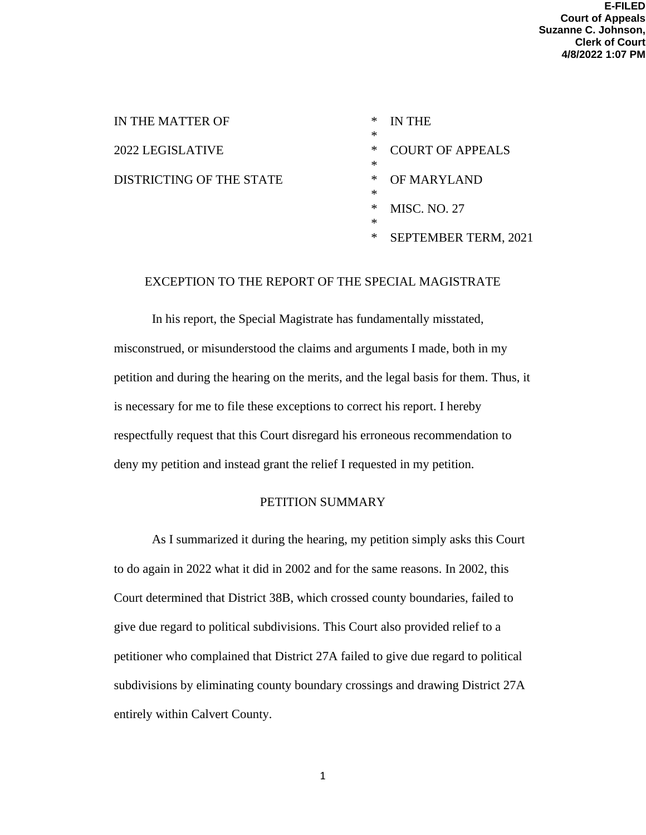| IN THE MATTER OF         | ∗<br>∗ | IN THE                  |
|--------------------------|--------|-------------------------|
| 2022 LEGISLATIVE         | ∗<br>∗ | <b>COURT OF APPEALS</b> |
| DISTRICTING OF THE STATE | ∗      | OF MARYLAND             |
|                          | ∗<br>∗ | <b>MISC. NO. 27</b>     |
|                          | ∗<br>∗ | SEPTEMBER TERM, 2021    |

## EXCEPTION TO THE REPORT OF THE SPECIAL MAGISTRATE

In his report, the Special Magistrate has fundamentally misstated, misconstrued, or misunderstood the claims and arguments I made, both in my petition and during the hearing on the merits, and the legal basis for them. Thus, it is necessary for me to file these exceptions to correct his report. I hereby respectfully request that this Court disregard his erroneous recommendation to deny my petition and instead grant the relief I requested in my petition.

## PETITION SUMMARY

As I summarized it during the hearing, my petition simply asks this Court to do again in 2022 what it did in 2002 and for the same reasons. In 2002, this Court determined that District 38B, which crossed county boundaries, failed to give due regard to political subdivisions. This Court also provided relief to a petitioner who complained that District 27A failed to give due regard to political subdivisions by eliminating county boundary crossings and drawing District 27A entirely within Calvert County.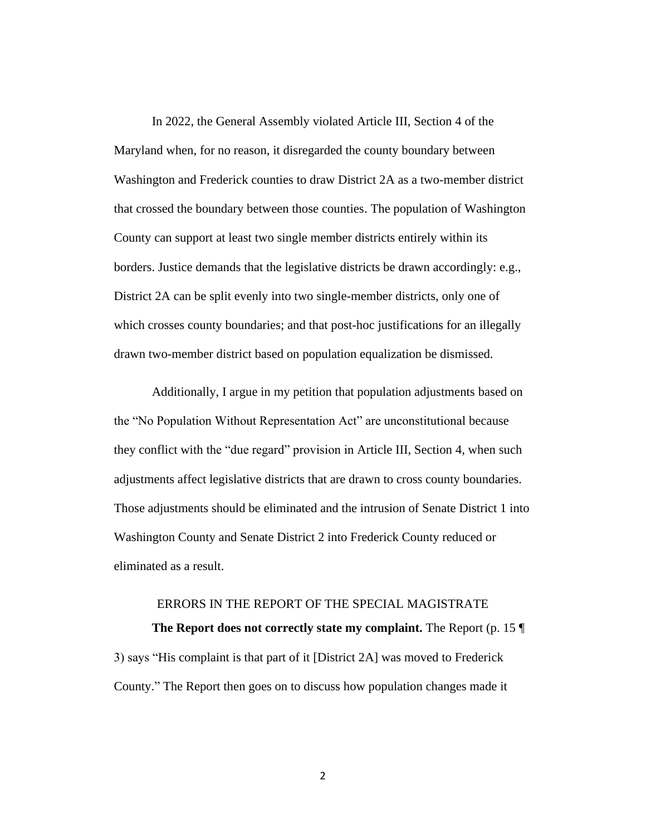In 2022, the General Assembly violated Article III, Section 4 of the Maryland when, for no reason, it disregarded the county boundary between Washington and Frederick counties to draw District 2A as a two-member district that crossed the boundary between those counties. The population of Washington County can support at least two single member districts entirely within its borders. Justice demands that the legislative districts be drawn accordingly: e.g., District 2A can be split evenly into two single-member districts, only one of which crosses county boundaries; and that post-hoc justifications for an illegally drawn two-member district based on population equalization be dismissed.

Additionally, I argue in my petition that population adjustments based on the "No Population Without Representation Act" are unconstitutional because they conflict with the "due regard" provision in Article III, Section 4, when such adjustments affect legislative districts that are drawn to cross county boundaries. Those adjustments should be eliminated and the intrusion of Senate District 1 into Washington County and Senate District 2 into Frederick County reduced or eliminated as a result.

## ERRORS IN THE REPORT OF THE SPECIAL MAGISTRATE

**The Report does not correctly state my complaint.** The Report (p. 15 ¶ 3) says "His complaint is that part of it [District 2A] was moved to Frederick County." The Report then goes on to discuss how population changes made it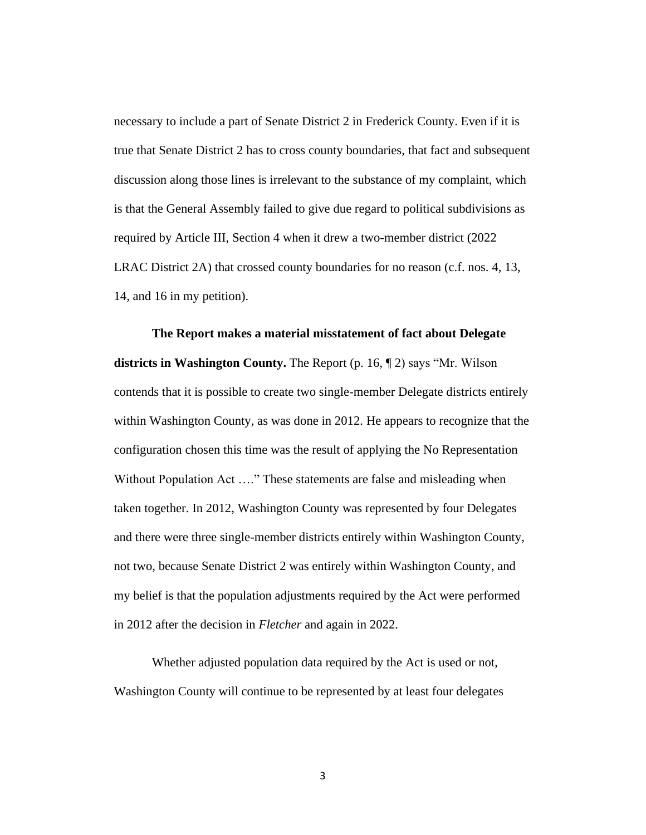necessary to include a part of Senate District 2 in Frederick County. Even if it is true that Senate District 2 has to cross county boundaries, that fact and subsequent discussion along those lines is irrelevant to the substance of my complaint, which is that the General Assembly failed to give due regard to political subdivisions as required by Article III, Section 4 when it drew a two-member district (2022 LRAC District 2A) that crossed county boundaries for no reason (c.f. nos. 4, 13, 14, and 16 in my petition).

#### **The Report makes a material misstatement of fact about Delegate**

**districts in Washington County.** The Report (p. 16, ¶ 2) says "Mr. Wilson contends that it is possible to create two single-member Delegate districts entirely within Washington County, as was done in 2012. He appears to recognize that the configuration chosen this time was the result of applying the No Representation Without Population Act …." These statements are false and misleading when taken together. In 2012, Washington County was represented by four Delegates and there were three single-member districts entirely within Washington County, not two, because Senate District 2 was entirely within Washington County, and my belief is that the population adjustments required by the Act were performed in 2012 after the decision in *Fletcher* and again in 2022.

Whether adjusted population data required by the Act is used or not, Washington County will continue to be represented by at least four delegates

3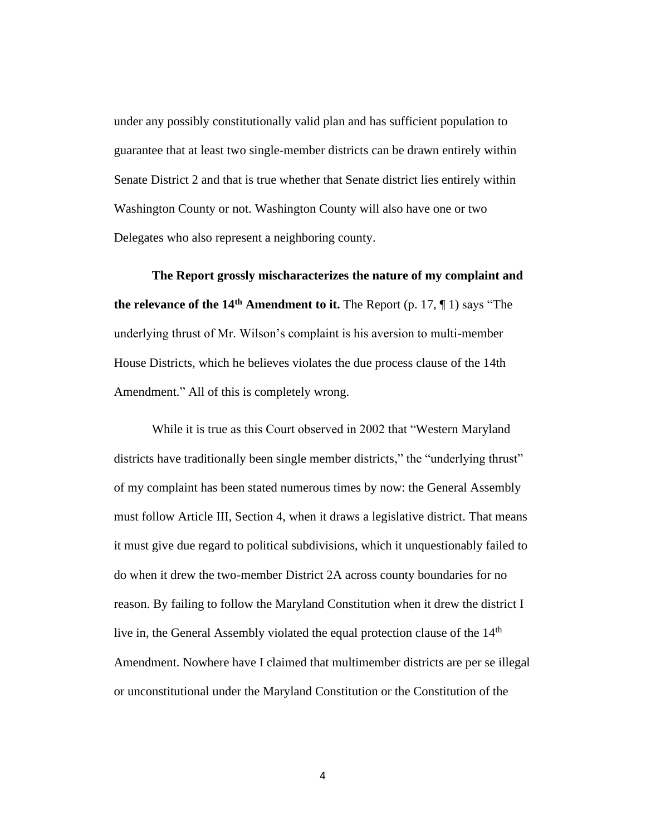under any possibly constitutionally valid plan and has sufficient population to guarantee that at least two single-member districts can be drawn entirely within Senate District 2 and that is true whether that Senate district lies entirely within Washington County or not. Washington County will also have one or two Delegates who also represent a neighboring county.

**The Report grossly mischaracterizes the nature of my complaint and the relevance of the 14th Amendment to it.** The Report (p. 17, ¶ 1) says "The underlying thrust of Mr. Wilson's complaint is his aversion to multi-member House Districts, which he believes violates the due process clause of the 14th Amendment." All of this is completely wrong.

While it is true as this Court observed in 2002 that "Western Maryland districts have traditionally been single member districts," the "underlying thrust" of my complaint has been stated numerous times by now: the General Assembly must follow Article III, Section 4, when it draws a legislative district. That means it must give due regard to political subdivisions, which it unquestionably failed to do when it drew the two-member District 2A across county boundaries for no reason. By failing to follow the Maryland Constitution when it drew the district I live in, the General Assembly violated the equal protection clause of the 14<sup>th</sup> Amendment. Nowhere have I claimed that multimember districts are per se illegal or unconstitutional under the Maryland Constitution or the Constitution of the

4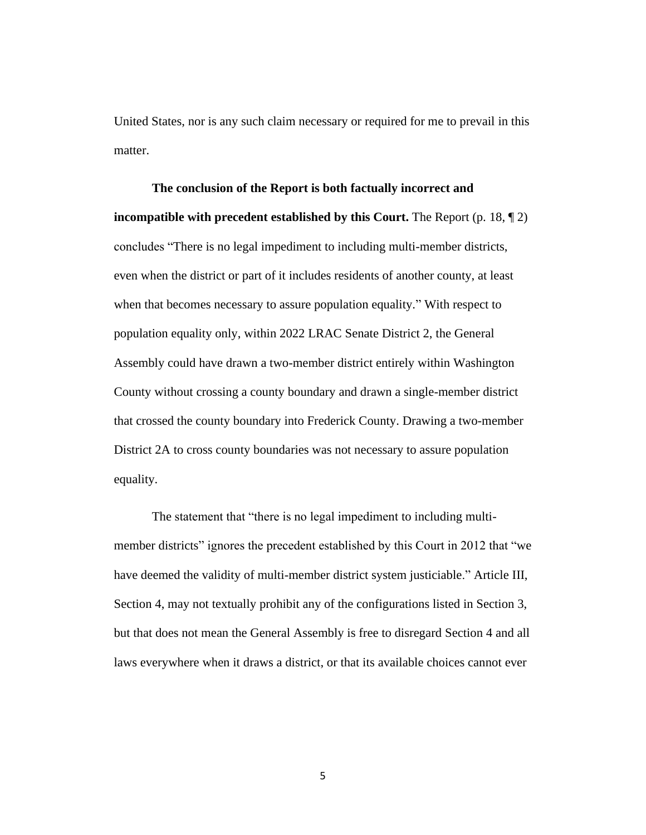United States, nor is any such claim necessary or required for me to prevail in this matter.

# **The conclusion of the Report is both factually incorrect and incompatible with precedent established by this Court.** The Report (p. 18, ¶ 2) concludes "There is no legal impediment to including multi-member districts, even when the district or part of it includes residents of another county, at least when that becomes necessary to assure population equality." With respect to population equality only, within 2022 LRAC Senate District 2, the General Assembly could have drawn a two-member district entirely within Washington County without crossing a county boundary and drawn a single-member district that crossed the county boundary into Frederick County. Drawing a two-member District 2A to cross county boundaries was not necessary to assure population equality.

The statement that "there is no legal impediment to including multimember districts" ignores the precedent established by this Court in 2012 that "we have deemed the validity of multi-member district system justiciable." Article III, Section 4, may not textually prohibit any of the configurations listed in Section 3, but that does not mean the General Assembly is free to disregard Section 4 and all laws everywhere when it draws a district, or that its available choices cannot ever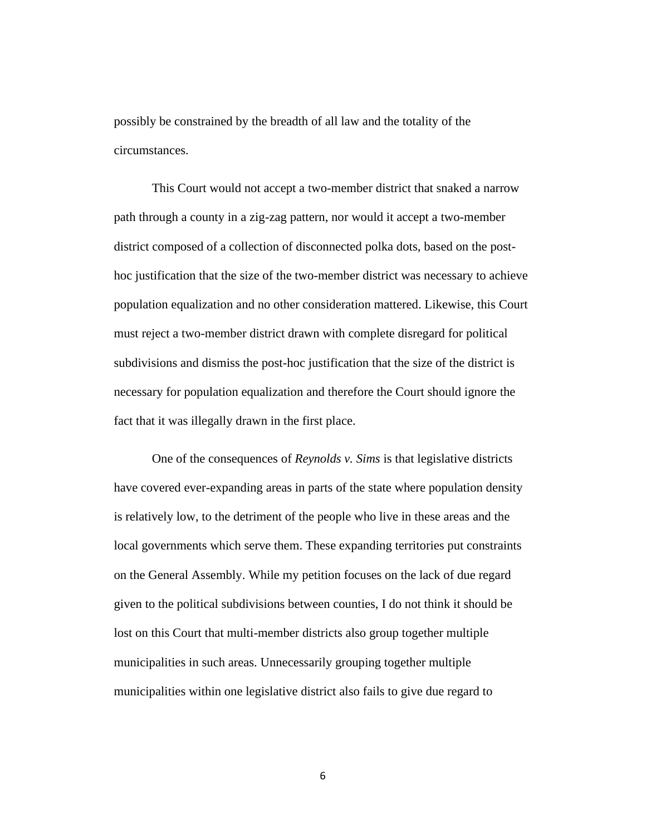possibly be constrained by the breadth of all law and the totality of the circumstances.

This Court would not accept a two-member district that snaked a narrow path through a county in a zig-zag pattern, nor would it accept a two-member district composed of a collection of disconnected polka dots, based on the posthoc justification that the size of the two-member district was necessary to achieve population equalization and no other consideration mattered. Likewise, this Court must reject a two-member district drawn with complete disregard for political subdivisions and dismiss the post-hoc justification that the size of the district is necessary for population equalization and therefore the Court should ignore the fact that it was illegally drawn in the first place.

One of the consequences of *Reynolds v. Sims* is that legislative districts have covered ever-expanding areas in parts of the state where population density is relatively low, to the detriment of the people who live in these areas and the local governments which serve them. These expanding territories put constraints on the General Assembly. While my petition focuses on the lack of due regard given to the political subdivisions between counties, I do not think it should be lost on this Court that multi-member districts also group together multiple municipalities in such areas. Unnecessarily grouping together multiple municipalities within one legislative district also fails to give due regard to

6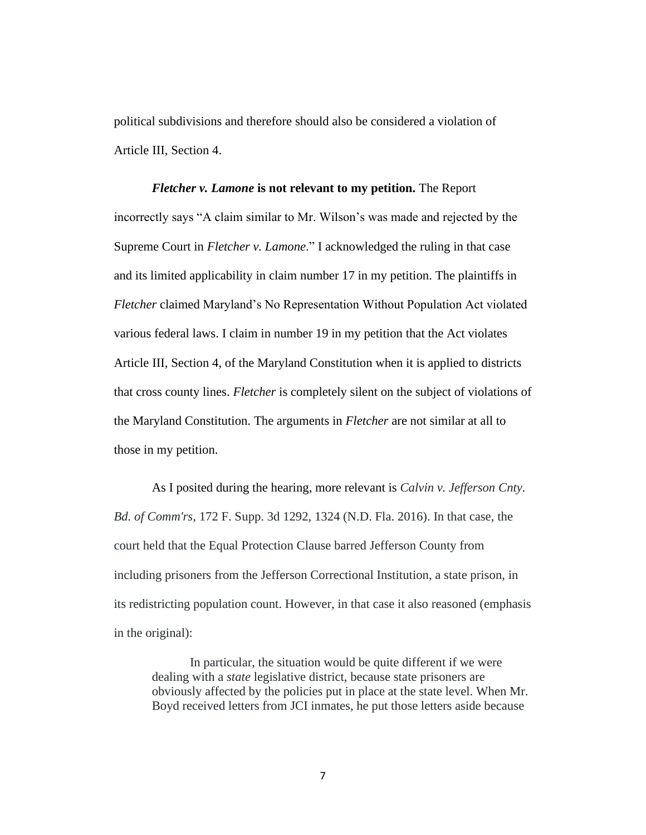political subdivisions and therefore should also be considered a violation of Article III, Section 4.

## *Fletcher v. Lamone* **is not relevant to my petition.** The Report incorrectly says "A claim similar to Mr. Wilson's was made and rejected by the Supreme Court in *Fletcher v. Lamone*." I acknowledged the ruling in that case and its limited applicability in claim number 17 in my petition. The plaintiffs in *Fletcher* claimed Maryland's No Representation Without Population Act violated various federal laws. I claim in number 19 in my petition that the Act violates Article III, Section 4, of the Maryland Constitution when it is applied to districts that cross county lines. *Fletcher* is completely silent on the subject of violations of the Maryland Constitution. The arguments in *Fletcher* are not similar at all to those in my petition.

As I posited during the hearing, more relevant is *Calvin v. Jefferson Cnty. Bd. of Comm'rs*, 172 F. Supp. 3d 1292, 1324 (N.D. Fla. 2016). In that case, the court held that the Equal Protection Clause barred Jefferson County from including prisoners from the Jefferson Correctional Institution, a state prison, in its redistricting population count. However, in that case it also reasoned (emphasis in the original):

In particular, the situation would be quite different if we were dealing with a *state* legislative district, because state prisoners are obviously affected by the policies put in place at the state level. When Mr. Boyd received letters from JCI inmates, he put those letters aside because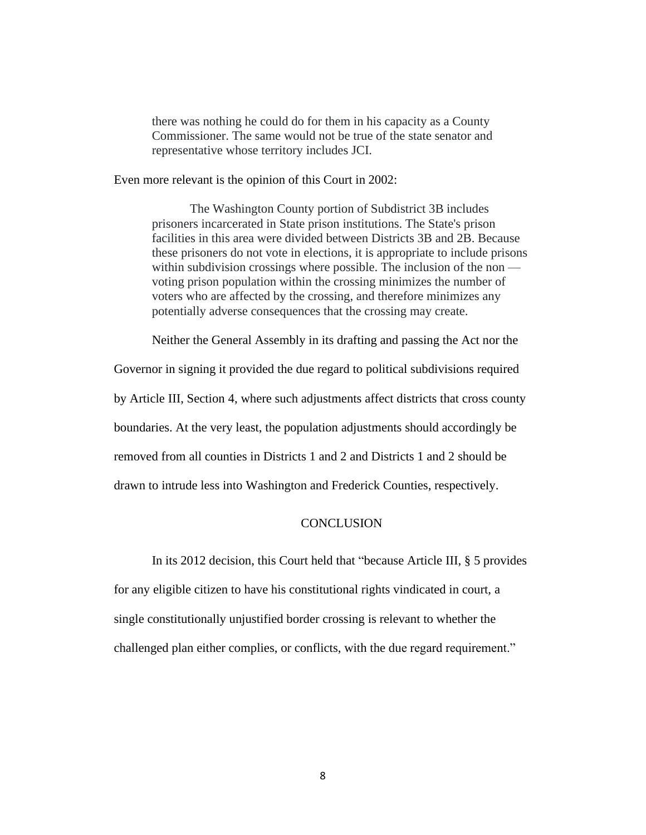there was nothing he could do for them in his capacity as a County Commissioner. The same would not be true of the state senator and representative whose territory includes JCI.

Even more relevant is the opinion of this Court in 2002:

The Washington County portion of Subdistrict 3B includes prisoners incarcerated in State prison institutions. The State's prison facilities in this area were divided between Districts 3B and 2B. Because these prisoners do not vote in elections, it is appropriate to include prisons within subdivision crossings where possible. The inclusion of the non voting prison population within the crossing minimizes the number of voters who are affected by the crossing, and therefore minimizes any potentially adverse consequences that the crossing may create.

Neither the General Assembly in its drafting and passing the Act nor the

Governor in signing it provided the due regard to political subdivisions required

by Article III, Section 4, where such adjustments affect districts that cross county

boundaries. At the very least, the population adjustments should accordingly be

removed from all counties in Districts 1 and 2 and Districts 1 and 2 should be

drawn to intrude less into Washington and Frederick Counties, respectively.

### **CONCLUSION**

In its 2012 decision, this Court held that "because Article III, § 5 provides

for any eligible citizen to have his constitutional rights vindicated in court, a single constitutionally unjustified border crossing is relevant to whether the challenged plan either complies, or conflicts, with the due regard requirement."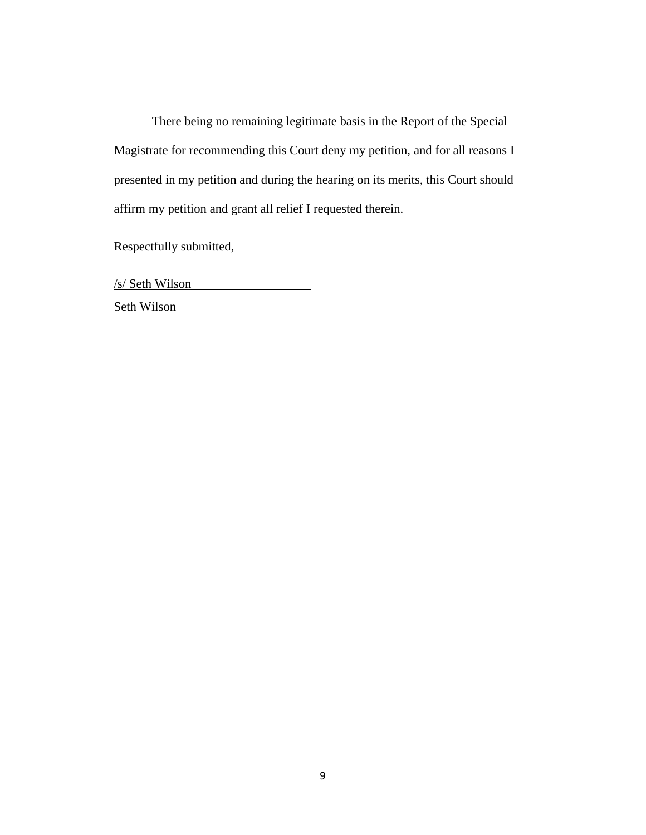There being no remaining legitimate basis in the Report of the Special Magistrate for recommending this Court deny my petition, and for all reasons I presented in my petition and during the hearing on its merits, this Court should affirm my petition and grant all relief I requested therein.

Respectfully submitted,

/s/ Seth Wilson

Seth Wilson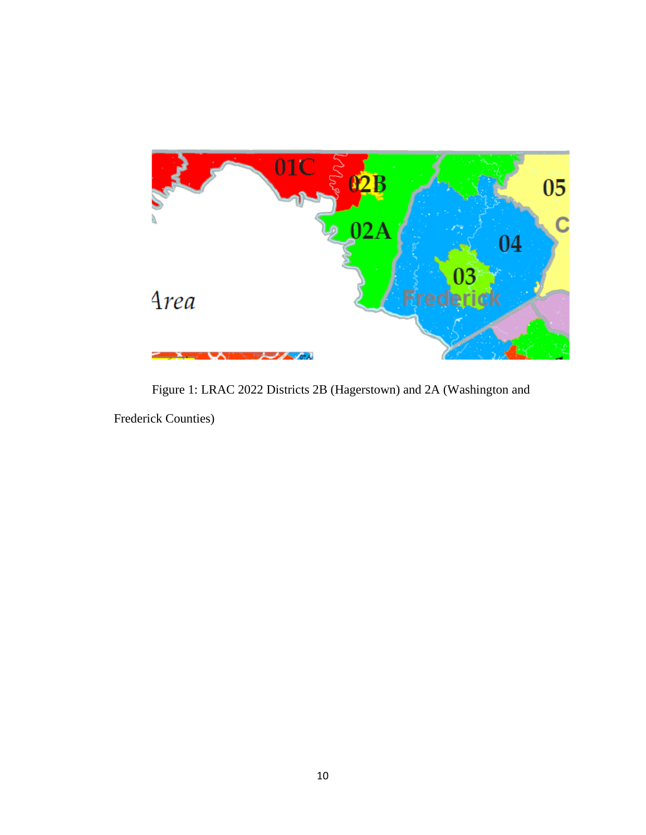

Figure 1: LRAC 2022 Districts 2B (Hagerstown) and 2A (Washington and

Frederick Counties)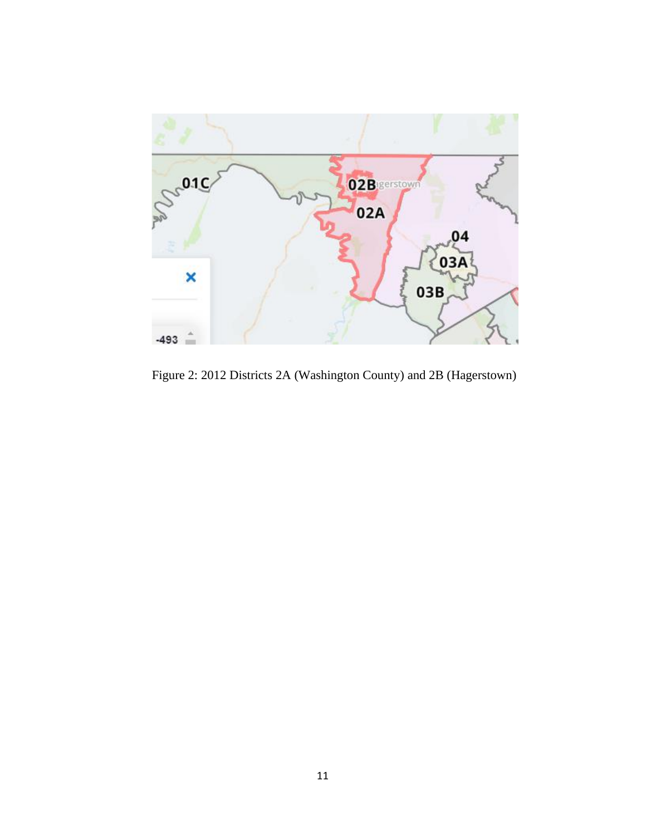

Figure 2: 2012 Districts 2A (Washington County) and 2B (Hagerstown)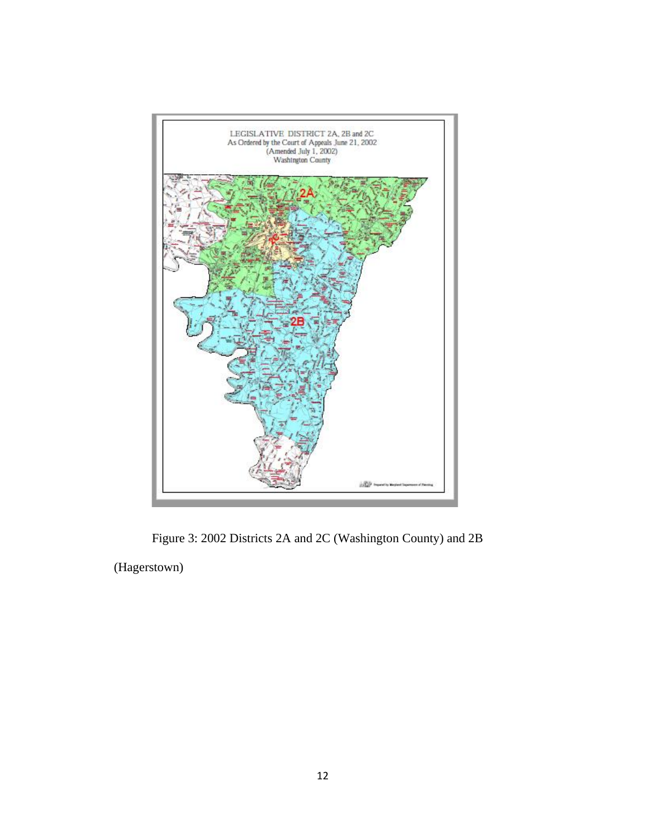

Figure 3: 2002 Districts 2A and 2C (Washington County) and 2B

(Hagerstown)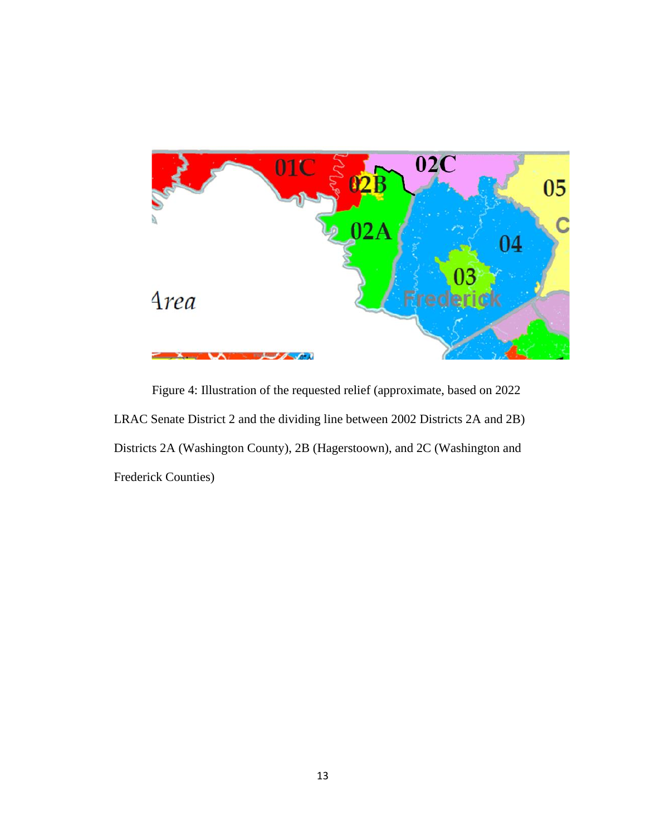

Figure 4: Illustration of the requested relief (approximate, based on 2022 LRAC Senate District 2 and the dividing line between 2002 Districts 2A and 2B) Districts 2A (Washington County), 2B (Hagerstoown), and 2C (Washington and Frederick Counties)